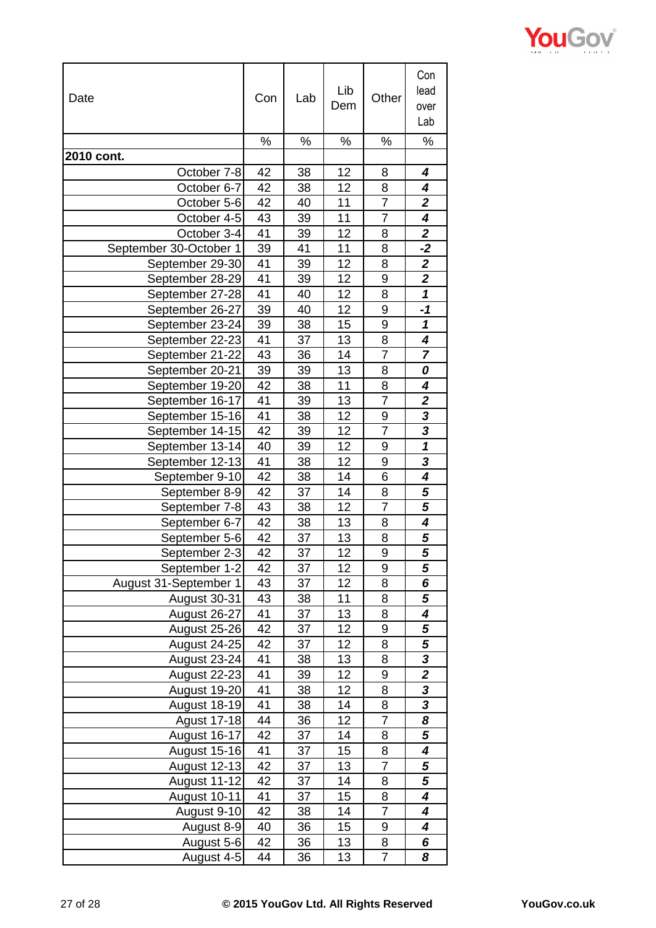| Date                   | Con | Lab | Lib<br>Dem | Other          | Con<br>lead<br>over<br>Lab |
|------------------------|-----|-----|------------|----------------|----------------------------|
|                        | ℅   | ℅   | ℅          | %              | %                          |
| 2010 cont.             |     |     |            |                |                            |
| October 7-8            | 42  | 38  | 12         | 8              | 4                          |
| October 6-7            | 42  | 38  | 12         | 8              | 4                          |
| October 5-6            | 42  | 40  | 11         | 7              | 2                          |
| October 4-5            | 43  | 39  | 11         | $\overline{7}$ | 4                          |
| October 3-4            | 41  | 39  | 12         | 8              | $\mathbf{2}$               |
| September 30-October 1 | 39  | 41  | 11         | 8              | $-2$                       |
| September 29-30        | 41  | 39  | 12         | 8              | $\overline{2}$             |
| September 28-29        | 41  | 39  | 12         | 9              | $\overline{\mathbf{2}}$    |
| September 27-28        | 41  | 40  | 12         | 8              | $\boldsymbol{\mathcal{L}}$ |
| September 26-27        | 39  | 40  | 12         | 9              | -1                         |
| September 23-24        | 39  | 38  | 15         | 9              | 1                          |
| September 22-23        | 41  | 37  | 13         | 8              | 4                          |
| September 21-22        | 43  | 36  | 14         | $\overline{7}$ | $\overline{7}$             |
| September 20-21        | 39  | 39  | 13         | 8              | 0                          |
| September 19-20        | 42  | 38  | 11         | 8              | 4                          |
| September 16-17        | 41  | 39  | 13         | $\overline{7}$ | $\overline{\mathbf{2}}$    |
| September 15-16        | 41  | 38  | 12         | 9              | $\overline{\mathbf{3}}$    |
| September 14-15        | 42  | 39  | 12         | 7              | $\overline{\mathbf{3}}$    |
| September 13-14        | 40  | 39  | 12         | 9              | $\overline{\mathbf{1}}$    |
| September 12-13        | 41  | 38  | 12         | 9              | 3                          |
| September 9-10         | 42  | 38  | 14         | 6              | 4                          |
| September 8-9          | 42  | 37  | 14         | 8              | 5                          |
| September 7-8          | 43  | 38  | 12         | $\overline{7}$ | 5                          |
| September 6-7          | 42  | 38  | 13         | 8              | 4                          |
| September 5-6          | 42  | 37  | 13         | 8              | 5                          |
| September 2-3          | 42  | 37  | 12         | 9              | 5                          |
| September 1-2          | 42  | 37  | 12         | 9              | 5                          |
| August 31-September 1  | 43  | 37  | 12         | 8              | 6                          |
| August 30-31           | 43  | 38  | 11         | 8              | 5                          |
| August 26-27           | 41  | 37  | 13         | 8              | 4                          |
| August 25-26           | 42  | 37  | 12         | 9              | 5                          |
| <b>August 24-25</b>    | 42  | 37  | 12         | 8              | 5                          |
| August 23-24           | 41  | 38  | 13         | 8              | 3                          |
| <b>August 22-23</b>    | 41  | 39  | 12         | 9              | $\overline{\mathbf{2}}$    |
| August 19-20           | 41  | 38  | 12         | 8              |                            |
| August 18-19           | 41  | 38  | 14         | 8              | $\frac{3}{3}$              |
| Agust 17-18            | 44  | 36  | 12         | $\overline{7}$ | 8                          |
| <b>August 16-17</b>    | 42  | 37  | 14         | 8              | 5                          |
| August 15-16           | 41  | 37  | 15         | 8              | 4                          |
| August 12-13           | 42  | 37  | 13         | $\overline{7}$ | 5                          |
| August 11-12           | 42  | 37  | 14         | 8              | 5                          |
| August 10-11           | 41  | 37  | 15         | 8              | 4                          |
| August 9-10            | 42  | 38  | 14         | $\overline{7}$ | 4                          |
| August 8-9             | 40  | 36  | 15         | 9              | 4                          |
| August 5-6             | 42  | 36  | 13         | 8              | 6                          |
| August 4-5             | 44  | 36  | 13         | 7              | 8                          |